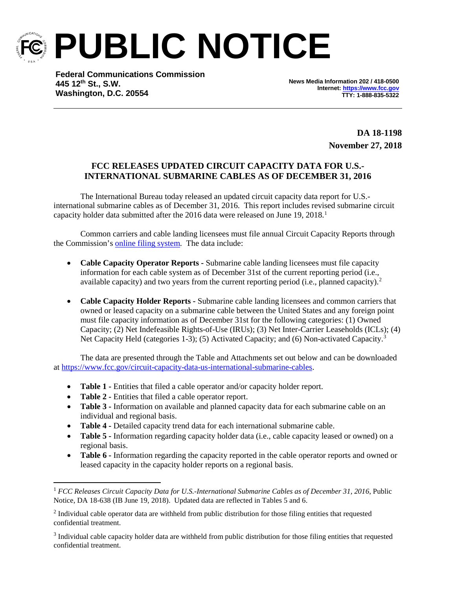

**PUBLIC NOTICE**

**Federal Communications Commission 445 12th St., S.W. Washington, D.C. 20554**

**News Media Information 202 / 418-0500 Internet[: https://www.fcc.gov](https://www.fcc.gov/) TTY: 1-888-835-5322**

> **DA 18-1198 November 27, 2018**

## **FCC RELEASES UPDATED CIRCUIT CAPACITY DATA FOR U.S.- INTERNATIONAL SUBMARINE CABLES AS OF DECEMBER 31, 2016**

The International Bureau today released an updated circuit capacity data report for U.S. international submarine cables as of December 31, 2016. This report includes revised submarine circuit capacity holder data submitted after the 20[1](#page-0-0)6 data were released on June 19,  $2018$ .<sup>1</sup>

Common carriers and cable landing licensees must file annual Circuit Capacity Reports through the Commission's [online filing system.](https://apps2.fcc.gov/section4362/login.xhtml) The data include:

- **Cable Capacity Operator Reports -** Submarine cable landing licensees must file capacity information for each cable system as of December 31st of the current reporting period (i.e., available capacity) and two years from the current reporting period (i.e., planned capacity).<sup>[2](#page-0-1)</sup>
- **Cable Capacity Holder Reports -** Submarine cable landing licensees and common carriers that owned or leased capacity on a submarine cable between the United States and any foreign point must file capacity information as of December 31st for the following categories: (1) Owned Capacity; (2) Net Indefeasible Rights-of-Use (IRUs); (3) Net Inter-Carrier Leaseholds (ICLs); (4) Net Capacity Held (categories 1-[3](#page-0-2)); (5) Activated Capacity; and (6) Non-activated Capacity.<sup>3</sup>

The data are presented through the Table and Attachments set out below and can be downloaded at [https://www.fcc.gov/circuit-capacity-data-us-international-submarine-cables.](https://www.fcc.gov/circuit-capacity-data-us-international-submarine-cables)

- **Table 1 -** Entities that filed a cable operator and/or capacity holder report.
- **Table 2 -** Entities that filed a cable operator report.
- **Table 3** Information on available and planned capacity data for each submarine cable on an individual and regional basis.
- **Table 4 -** Detailed capacity trend data for each international submarine cable.
- **Table 5** Information regarding capacity holder data (i.e., cable capacity leased or owned) on a regional basis.
- **Table 6 -** Information regarding the capacity reported in the cable operator reports and owned or leased capacity in the capacity holder reports on a regional basis.

<span id="page-0-0"></span> <sup>1</sup> *FCC Releases Circuit Capacity Data for U.S.-International Submarine Cables as of December 31, 2016*, Public Notice, DA 18-638 (IB June 19, 2018). Updated data are reflected in Tables 5 and 6.

<span id="page-0-1"></span><sup>&</sup>lt;sup>2</sup> Individual cable operator data are withheld from public distribution for those filing entities that requested confidential treatment.

<span id="page-0-2"></span><sup>&</sup>lt;sup>3</sup> Individual cable capacity holder data are withheld from public distribution for those filing entities that requested confidential treatment.